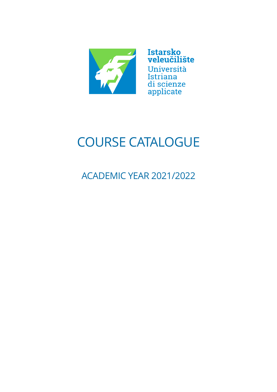

Istarsko<br>veleučilište Università Istriana di scienze

applicate

# COURSE CATALOGUE

ACADEMIC YEAR 2021/2022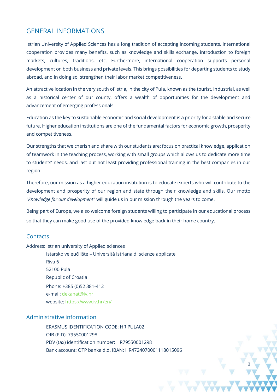## GENERAL INFORMATIONS

Istrian University of Applied Sciences has a long tradition of accepting incoming students. International cooperation provides many benefits, such as knowledge and skills exchange, introduction to foreign markets, cultures, traditions, etc. Furthermore, international cooperation supports personal development on both business and private levels. This brings possibilities for departing students to study abroad, and in doing so, strengthen their labor market competitiveness.

An attractive location in the very south of Istria, in the city of Pula, known as the tourist, industrial, as well as a historical center of our county, offers a wealth of opportunities for the development and advancement of emerging professionals.

Education as the key to sustainable economic and social development is a priority for a stable and secure future. Higher education institutions are one of the fundamental factors for economic growth, prosperity and competitiveness.

Our strengths that we cherish and share with our students are: focus on practical knowledge, application of teamwork in the teaching process, working with small groups which allows us to dedicate more time to students' needs, and last but not least providing professional training in the best companies in our region.

Therefore, our mission as a higher education institution is to educate experts who will contribute to the development and prosperity of our region and state through their knowledge and skills. Our motto *"Knowledge for our development"* will guide us in our mission through the years to come.

Being part of Europe, we also welcome foreign students willing to participate in our educational process so that they can make good use of the provided knowledge back in their home country.

**2**

## **Contacts**

#### Address: Istrian university of Applied sciences

Istarsko veleučilište – Università Istriana di scienze applicate Riva 6 52100 Pula Republic of Croatia Phone: +385 (0)52 381-412 e-mail: dekanat@iv.hr website[: https://www.iv.hr/en/](https://www.iv.hr/en/)

## Administrative information

ERASMUS IDENTIFICATION CODE: HR PULA02 OIB (PID): 79550001298 PDV (tax) identification number: HR79550001298 Bank account: OTP banka d.d. IBAN: HR4724070001118015096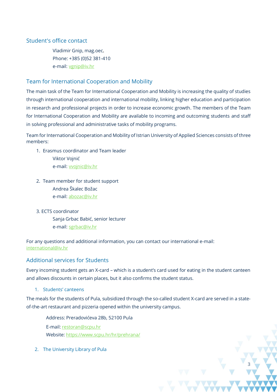## Student's office contact

Vladimir Gnip, mag.oec. Phone: +385 (0)52 381-410 e-mail: [vgnip@iv.hr](mailto:vgnip@iv.hr)

## Team for International Cooperation and Mobility

The main task of the Team for International Cooperation and Mobility is increasing the quality of studies through international cooperation and international mobility, linking higher education and participation in research and professional projects in order to increase economic growth. The members of the Team for International Cooperation and Mobility are available to incoming and outcoming students and staff in solving professional and administrative tasks of mobility programs.

Team for International Cooperation and Mobility of Istrian University of Applied Sciences consists of three members:

- 1. Erasmus coordinator and Team leader Viktor Vojnić e-mail: [vvojnic@iv.hr](mailto:vvojnic@iv.hr)
- 2. Team member for student support Andrea Škalec Božac e-mail[: abozac@iv.hr](mailto:abozac@iv.hr)
- 3. ECTS coordinator Sanja Grbac Babić, senior lecturer e-mail: [sgrbac@iv.hr](mailto:sgrbac@iv.hr)

For any questions and additional information, you can contact our international e-mail: international@iv.hr

## Additional services for Students

Every incoming student gets an X-card – which is a student's card used for eating in the student canteen and allows discounts in certain places, but it also confirms the student status.

1. Students' canteens

The meals for the students of Pula, subsidized through the so-called student X-card are served in a stateof-the-art restaurant and pizzeria opened within the university campus.

**3**

Address: Preradovićeva 28b, 52100 Pula E-mail: [restoran@scpu.hr](mailto:restoran@scpu.hr) Website:<https://www.scpu.hr/hr/prehrana/>

2. The University Library of Pula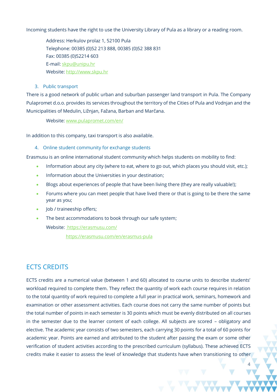Incoming students have the right to use the University Library of Pula as a library or a reading room.

Address: Herkulov prolaz 1, 52100 Pula Telephone: 00385 (0)52 213 888, 00385 (0)52 388 831 Fax: 00385 (0)52214 603 E-mail: skpu@unipu.hr Website: http://www.skpu.hr

## 3. Public transport

There is a good network of public urban and suburban passenger land transport in Pula. The Company Pulapromet d.o.o. provides its services throughout the territory of the Cities of Pula and Vodnjan and the Municipalities of Medulin, Ližnjan, Fažana, Barban and Marčana.

## Website: [www.pulapromet.com/en/](http://www.pulapromet.com/en/)

In addition to this company, taxi transport is also available.

## 4. Online student community for exchange students

Erasmusu is an online international student community which helps students on mobility to find:

- Information about any city (where to eat, where to go out, which places you should visit, etc.);
- Information about the Universities in your destination;
- Blogs about experiences of people that have been living there (they are really valuable!);
- Forums where you can meet people that have lived there or that is going to be there the same year as you;
- Job / traineeship offers;
- The best accommodations to book through our safe system;

Website:<https://erasmusu.com/>

<https://erasmusu.com/en/erasmus-pula>

# ECTS CREDITS

ECTS credits are a numerical value (between 1 and 60) allocated to course units to describe students' workload required to complete them. They reflect the quantity of work each course requires in relation to the total quantity of work required to complete a full year in practical work, seminars, homework and examination or other assessment activities. Each course does not carry the same number of points but the total number of points in each semester is 30 points which must be evenly distributed on all courses in the semester due to the learner content of each college. All subjects are scored – obligatory and elective. The academic year consists of two semesters, each carrying 30 points for a total of 60 points for academic year. Points are earned and attributed to the student after passing the exam or some other verification of student activities according to the prescribed curriculum (syllabus). These achieved ECTS credits make it easier to assess the level of knowledge that students have when transitioning to other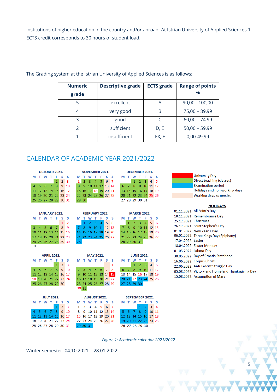institutions of higher education in the country and/or abroad. At Istrian University of Applied Sciences 1 ECTS credit corresponds to 30 hours of student load.

| <b>Numeric</b><br>grade | <b>Descriptive grade</b> | <b>ECTS</b> grade | <b>Range of points</b><br>$\frac{0}{0}$ |
|-------------------------|--------------------------|-------------------|-----------------------------------------|
|                         | excellent                |                   | $90,00 - 100,00$                        |
|                         | very good                | R                 | $75,00 - 89,99$                         |
| 3                       | good                     |                   | $60,00 - 74,99$                         |
|                         | sufficient               | D, E              | $50,00 - 59,99$                         |
|                         | insufficient             | FX, F             | 0,00-49,99                              |

The Grading system at the Istrian University of Applied Sciences is as follows:

## CALENDAR OF ACADEMIC YEAR 2021/2022

| <b>OCTOBER 2021.</b>                                         | <b>NOVEMBER 2021.</b>                                                          | DECEMBER 2021.                                                                                   |                                                   |
|--------------------------------------------------------------|--------------------------------------------------------------------------------|--------------------------------------------------------------------------------------------------|---------------------------------------------------|
| T W T F<br>s<br>s<br>м                                       | T<br>-F<br>s<br>s<br>M T<br><b>W</b>                                           | M T W<br>s<br>s<br>T.                                                                            | <b>University Day</b>                             |
| $2 \overline{3}$<br>$\mathbf{1}$                             | $2 \quad 3 \quad 4 \quad 5$<br>6<br>$\overline{7}$<br>1 <sup>1</sup>           | $\overline{2}$<br>$\overline{3}$<br>$\overline{4}$<br>$\overline{\phantom{0}}$ 5<br>$\mathbf{1}$ | Direct teaching (classes)                         |
| 5 6 7 8<br>9 <sub>10</sub><br>4                              | 9 10 11 12 13 14<br>8.                                                         | $6-7$<br>8<br>9 10 11 12                                                                         | <b>Examination period</b>                         |
| 11 12 13 14 15 16 17                                         | 15 16 17 18 19 20 21                                                           | 13 14 15 16 17 18 19                                                                             | Holidays and non-working days                     |
| 18 19 20 21 22 23 24                                         | 22 23 24 25 26 27 28                                                           | 20 21 22 23 24 25 26                                                                             | Working days as needed                            |
| 25 26 27 28 29 30 31                                         | 29 30                                                                          | 27 28 29 30 31                                                                                   |                                                   |
|                                                              |                                                                                |                                                                                                  | <b>HOLIDAYS</b>                                   |
|                                                              |                                                                                |                                                                                                  | 01.11.2021. All Saint's Day                       |
| <b>JANUARY 2022.</b>                                         | FEBRUARY 2022.                                                                 | <b>MARCH 2022.</b>                                                                               | 18.11.2021. Remembrance Day                       |
| S<br>M T W T<br>F<br>- S<br>$\overline{2}$<br>$\mathbf{1}$   | S<br>M T W T<br>-F<br>s<br>5<br>43<br>$-6$<br>$\overline{2}$<br>$\overline{4}$ | S<br>M T W T<br>- s<br>F<br>$\overline{2}$<br>$\bullet$<br>4 <sup>1</sup><br>5 <sub>6</sub><br>1 | 25.12.2021. Christmas                             |
| 5 <sub>6</sub><br>$\overline{7}$<br>8<br><u>g</u><br>4<br>3. | 1<br>$\mathbf{q}$<br>10 11 12 13                                               | 10 11 12 13<br>9<br>8                                                                            | 26.12.2021. Saint Stephen's Day                   |
| 10 11 12 13 14 15 16                                         | 14 15 16 17 18 19 20                                                           | 14 15 16 17 18 19 20                                                                             | 01.01.2022. New Year's Day                        |
| 17 18 19 20 21 22 23                                         | 21 22 23 24 25 26 27                                                           | 21 22 23 24 25 26 27                                                                             | 06.01.2022. Three Kings Day (Epiphany)            |
| 24 25 26 27 28 29 30                                         | 28                                                                             | 28 29 30 31                                                                                      | 17.04.2022. Easter                                |
| 31                                                           |                                                                                |                                                                                                  | 18.04.2022. Easter Monday                         |
|                                                              |                                                                                |                                                                                                  | 01.05.2022. Labour Day                            |
| <b>APRIL 2022.</b>                                           | <b>MAY 2022.</b>                                                               | <b>JUNE 2022.</b>                                                                                | 30.05.2022. Day of Croatia Statehood              |
| <b>MTWTF</b><br>S<br>- S                                     | <b>MTWTF</b><br>s<br>s                                                         | M T W T<br>s<br>- S<br>F                                                                         | 16.06.2022. Corpus Christi                        |
| 2 <sup>3</sup><br>$\mathbf{1}$                               | 1                                                                              | $\overline{2}$<br>$\overline{3}$<br>$\overline{4}$<br>- 5<br>$\mathbf{1}$                        | 22.06.2022. Anti-Fascist Struggle Day             |
| 6<br>78<br>9 <sub>10</sub><br>5 <sup>1</sup>                 | $\overline{\mathbf{5}}$<br>$6 \overline{7}$<br><b>8</b><br>$2 \quad 3 \quad 4$ | $6-7$<br>8 9 10 11 12                                                                            | 05.08.2022. Victory and Homeland Thanksgiving Day |
| 11 12 13 14 15 16 17                                         | 9 10 11 12 13 14 15                                                            | 13 14 15 16 17 18 19                                                                             | 15.08.2022. Assumption of Mary                    |
| 18 19 20 21 22 23 24                                         | 16 17 18 19 20 21 22                                                           | 20 21 22 23 24 25 26                                                                             |                                                   |
| 25 26 27 28 29 30                                            | 23 24 25 26 27 28 29                                                           | 27 28 29 30                                                                                      |                                                   |
|                                                              | $30$ $31$                                                                      |                                                                                                  |                                                   |
| <b>JULY 2022.</b>                                            | AUGUST 2022.                                                                   | SEPTEMBER 2022.                                                                                  |                                                   |
| - F<br>s<br>M T W T<br>s                                     | W T F<br>s<br>s<br>м<br>т.                                                     | M T W T<br>s<br>- s<br>Æ                                                                         |                                                   |
| 2 <sup>3</sup><br>$\mathbf{1}$                               | -5<br>6<br>3<br>$\overline{4}$<br>$\overline{7}$<br>2<br>1                     | $\overline{2}$<br>3<br>$\overline{4}$<br>$\mathbf{1}$                                            |                                                   |
| $6 \quad 7 \quad 8$<br>9 10<br>-5 -                          | 9 10 11 12 13 14<br>8                                                          | 78<br>9 10 11<br>5 <sub>6</sub>                                                                  |                                                   |
|                                                              |                                                                                |                                                                                                  |                                                   |
|                                                              | 15 16 17 18 19 20 21                                                           | 12 13 14 15 16 17 18                                                                             |                                                   |
| 11 12 13 14 15 16 17<br>18 19 20 21 22 23 24                 | 22 23 24 25 26 27 28                                                           | 19 20 21 22 23 24 25                                                                             |                                                   |

*Figure 1: Academic calendar 2021/2022*

**5**

Winter semester: 04.10.2021. - 28.01.2022.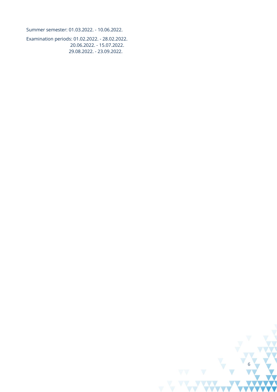Summer semester: 01.03.2022. - 10.06.2022.

Examination periods: 01.02.2022. - 28.02.2022. 20.06.2022. - 15.07.2022. 29.08.2022. - 23.09.2022.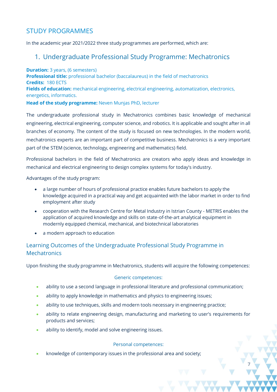# STUDY PROGRAMMES

In the academic year 2021/2022 three study programmes are performed, which are:

## 1. Undergraduate Professional Study Programme: Mechatronics

**Duration:** 3 years, (6 semesters) **Professional title:** professional bachelor (baccalaureus) in the field of mechatronics **Credits:** 180 ECTS **Fields of education:** mechanical engineering, electrical engineering, automatization, electronics, energetics, informatics. **Head of the study programme:** Neven Munjas PhD, lecturer

The undergraduate professional study in Mechatronics combines basic knowledge of mechanical engineering, electrical engineering, computer science, and robotics. It is applicable and sought after in all branches of economy. The content of the study is focused on new technologies. In the modern world, mechatronics experts are an important part of competitive business. Mechatronics is a very important part of the STEM (science, technology, engineering and mathematics) field.

Professional bachelors in the field of Mechatronics are creators who apply ideas and knowledge in mechanical and electrical engineering to design complex systems for today's industry.

Advantages of the study program:

- a large number of hours of professional practice enables future bachelors to apply the knowledge acquired in a practical way and get acquainted with the labor market in order to find employment after study
- cooperation with the Research Centre for Metal Industry in Istrian County METRIS enables the application of acquired knowledge and skills on state-of-the-art analytical equipment in modernly equipped chemical, mechanical, and biotechnical laboratories
- a modern approach to education

## Learning Outcomes of the Undergraduate Professional Study Programme in **Mechatronics**

Upon finishing the study programme in Mechatronics, students will acquire the following competences:

## Generic competences:

- ability to use a second language in professional literature and professional communication;
- ability to apply knowledge in mathematics and physics to engineering issues;
- ability to use techniques, skills and modern tools necessary in engineering practice;
- ability to relate engineering design, manufacturing and marketing to user's requirements for products and services;

**7**

• ability to identify, model and solve engineering issues.

#### Personal competences:

• knowledge of contemporary issues in the professional area and society;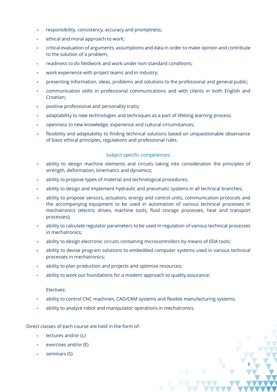- responsibility, consistency, accuracy and promptness;
- ethical and moral approach to work;
- critical evaluation of arguments, assumptions and data in order to make opinion and contribute to the solution of a problem;
- readiness to do fieldwork and work under non-standard conditions;
- work experience with project teams and in industry;
- presenting information, ideas, problems and solutions to the professional and general public;
- communication skills in professional communications and with clients in both English and Croatian;
- positive professional and personality traits;
- adaptability to new technologies and techniques as a part of lifelong learning process;
- openness to new knowledge, experience and cultural circumstances;
- flexibility and adaptability to finding technical solutions based on unquestionable observance of basic ethical principles, regulations and professional rules.

#### Subject specific competences:

- ability to design machine elements and circuits taking into consideration the principles of strength, deformation, kinematics and dynamics;
- ability to propose types of material and technological procedures;
- ability to design and implement hydraulic and pneumatic systems in all technical branches;
- ability to propose sensors, actuators, energy and control units, communication protocols and the accompanying equipment to be used in automation of various technical processes in mechatronics (electric drives, machine tools, fluid storage processes, heat and transport processes);
- ability to calculate regulator parameters to be used in regulation of various technical processes in mechatronics;
- ability to design electronic circuits containing microcontrollers by means of EDA tools;
- ability to devise program solutions to embedded computer systems used in various technical processes in mechatronics;
- ability to plan production and projects and optimize resources;
- ability to work out foundations for a modern approach to quality assurance;

#### Electives:

• ability to control CNC machines, CAD/CAM systems and flexible manufacturing systems;

**8**

• ability to analyze robot and manipulator operations in mechatronics.

Direct classes of each course are held in the form of:

- lectures and/or (L)
- exercises and/or (E)
- seminars (S)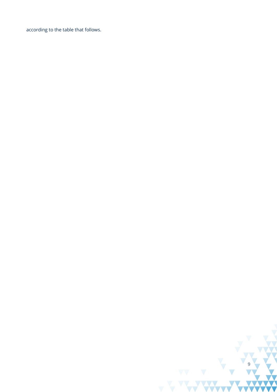according to the table that follows.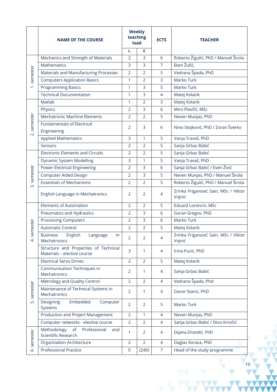|                                      | <b>NAME OF THE COURSE</b>                                            | <b>Weekly</b><br>teaching<br>load |                | <b>ECTS</b>    | <b>TEACHER</b>                                 |
|--------------------------------------|----------------------------------------------------------------------|-----------------------------------|----------------|----------------|------------------------------------------------|
|                                      |                                                                      | L                                 | Е              |                |                                                |
|                                      | Mechanics and Strength of Materials                                  | $\overline{2}$                    | 3              | 6              | Roberto Žigulić, PhD / Manuel Širola           |
|                                      | <b>Mathematics</b>                                                   | 3                                 | 3              | $\overline{7}$ | Đani Žufić,                                    |
| semester                             | <b>Materials and Manufacturing Processes</b>                         | $\overline{2}$                    | $\overline{2}$ | 5              | Vedrana Špada, PhD                             |
|                                      | <b>Computers Application Basics</b>                                  | 1                                 | $\overline{2}$ | 3              | Marko Turk                                     |
| $\div$                               | <b>Programming Basics</b>                                            | 1                                 | 3              | 5              | Marko Turk                                     |
|                                      | <b>Technical Documentation</b>                                       | $\mathbf{1}$                      | 3              | 4              | Matej Kolarik                                  |
|                                      | Matlab                                                               | $\mathbf{1}$                      | $\overline{2}$ | 3              | Matej Kolarik                                  |
|                                      | Physics                                                              | $\overline{2}$                    | 3              | 6              | Miro Plavčić, MSc                              |
|                                      | <b>Mechatronic Machine Elements</b>                                  | $\overline{2}$                    | $\overline{2}$ | 5              | Neven Munjas, PhD                              |
| semester<br>$\overline{\mathcal{N}}$ | <b>Fundamentals of Electrical</b><br>Engineering                     | $\overline{2}$                    | 3              | 6              | Nino Stojković, PhD / Zoran Šverko             |
|                                      | <b>Applied Mathematics</b>                                           | 3                                 | 1              | 5              | Vanja Travaš, PhD                              |
|                                      | Sensors                                                              | $\overline{2}$                    | $\overline{2}$ | 5              | Sanja Grbac Babić                              |
|                                      | <b>Electronic Elements and Circuits</b>                              | $\overline{2}$                    | $\overline{2}$ | 5              | Sanja Grbac Babić                              |
|                                      | <b>Dynamic System Modelling</b>                                      | 3                                 | 1              | 5              | Vanja Travaš, PhD                              |
|                                      | <b>Power Electrical Engineering</b>                                  | $\overline{2}$                    | 3              | 6              | Sanja Grbac Babić / Even Živić                 |
| semester                             | <b>Computer Aided Design</b>                                         | $\overline{2}$                    | 3              | 5              | Neven Munjas, PhD / Manuel Širola              |
|                                      | <b>Essentials of Mechanisms</b>                                      | $\overline{2}$                    | $\overline{2}$ | 5              | Roberto Žigulić, PhD / Manuel Širola           |
| $\vec{m}$                            | English Language in Mechatronics                                     | $\overline{2}$                    | 2              | 4              | Zrinka Friganović Sain, MSc / Viktor<br>Vojnić |
|                                      | <b>Elements of Automation</b>                                        | $\overline{2}$                    | $\overline{2}$ | 5              | <b>Eduard Lorencin, MSc</b>                    |
|                                      | Pneumatics and Hydraulics                                            | $\overline{2}$                    | 3              | 6              | Goran Gregov, PhD                              |
|                                      | <b>Processing Computers</b>                                          | $\overline{2}$                    | 3              | 6              | Marko Turk                                     |
| semester                             | <b>Automatic Control</b>                                             | $\overline{2}$                    | $\overline{2}$ | 5              | Matej Kolarik                                  |
| 4.                                   | English Language<br>in<br><b>Business</b><br>Mechatronics            | $\overline{2}$                    | $\overline{2}$ | 4              | Zrinka Friganović Sain, MSc / Viktor<br>Vojnić |
|                                      | Structure and Properties of Technical<br>Materials - elective course | 3                                 | 1              | 4              | Irina Pucić, PhD                               |
|                                      | <b>Electrical Servo Drives</b>                                       | $\overline{2}$                    | $\overline{2}$ | 5              | Matej Kolarik                                  |
|                                      | Communication Techniques in<br>Mechatronics                          | $\overline{2}$                    | 1              | 4              | Sanja Grbac Babić                              |
|                                      | Metrology and Quality Control                                        | $\overline{2}$                    | $\overline{2}$ | $\overline{4}$ | Vedrana Špada, Phd                             |
| semester                             | Maintenance of Technical Systems in<br>Mechatronics                  | $\overline{2}$                    | $\mathbf{1}$   | 4              | Davor Stanić, PhD                              |
| ιń.                                  | Embedded<br>Designing<br>Computer<br>Systems                         | $\overline{2}$                    | $\overline{2}$ | 5              | Marko Turk                                     |
|                                      | Production and Project Management                                    | $\overline{2}$                    | $\mathbf{1}$   | $\overline{4}$ | Neven Munjas, PhD                              |
|                                      | Computer networks - elective course                                  | $\overline{2}$                    | $\overline{2}$ | $\overline{4}$ | Sanja Grbac Babić / Dino Krivičić              |
| semester                             | Methodology<br>of<br>Professional<br>and<br>Scientific Research      | 1                                 | $\overline{2}$ | 4              | Dijana Drandić, PhD                            |
|                                      | Organization Architecture                                            | $\overline{2}$                    | $\overline{2}$ | $\overline{4}$ | Daglas Koraca, PhD                             |
| نی                                   | <b>Professional Practice</b>                                         | $\mathbf{0}$                      | (240)          | $\overline{7}$ | Head of the study programme                    |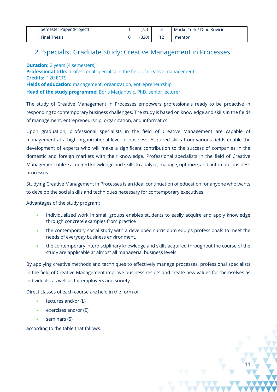| Semester Paper (Project) | 75)   | Marko Turk / Dino Krivičić |
|--------------------------|-------|----------------------------|
| <b>Final Thesis</b>      | (320) | mentor                     |

# 2. Specialist Graduate Study: Creative Management in Processes

**Duration:** 2 years (4 semesters) **Professional title:** professional specialist in the field of creative management **Credits:** 120 ECTS **Fields of education:** management, organization, entrepreneurship **Head of the study programme:** Boris Marjanović, PhD, senior lecturer

The study of Creative Management in Processes empowers professionals ready to be proactive in responding to contemporary business challenges. The study is based on knowledge and skills in the fields of management, entrepreneurship, organization, and informatics.

Upon graduation, professional specialists in the field of Creative Management are capable of management at a high organizational level of business. Acquired skills from various fields enable the development of experts who will make a significant contribution to the success of companies in the domestic and foreign markets with their knowledge. Professional specialists in the field of Creative Management utilize acquired knowledge and skills to analyze, manage, optimize, and automate business processes.

Studying Creative Management in Processes is an ideal continuation of education for anyone who wants to develop the social skills and techniques necessary for contemporary executives.

Advantages of the study program:

- individualized work in small groups enables students to easily acquire and apply knowledge through concrete examples from practice
- the contemporary social study with a developed curriculum equips professionals to meet the needs of everyday business environment,
- the contemporary interdisciplinary knowledge and skills acquired throughout the course of the study are applicable at almost all managerial business levels.

**11**

By applying creative methods and techniques to effectively manage processes, professional specialists in the field of Creative Management improve business results and create new values for themselves as individuals, as well as for employers and society.

Direct classes of each course are held in the form of:

- lectures and/or (L)
- exercises and/or (E)
- seminars (S)

according to the table that follows.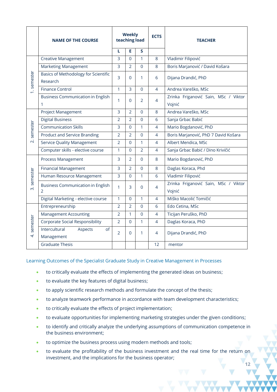|                          | <b>NAME OF THE COURSE</b>                                 |                | <b>Weekly</b><br>teaching load |                | <b>ECTS</b>    | <b>TEACHER</b>                                 |  |
|--------------------------|-----------------------------------------------------------|----------------|--------------------------------|----------------|----------------|------------------------------------------------|--|
|                          |                                                           | L              | E                              | S.             |                |                                                |  |
|                          | <b>Creative Management</b>                                | $\overline{3}$ | $\Omega$                       | $\mathbf{1}$   | $\,8\,$        | Vladimir Filipović                             |  |
|                          | <b>Marketing Management</b>                               | $\overline{3}$ | $\overline{2}$                 | $\Omega$       | 8              | Boris Marjanović / David Košara                |  |
| 1. semester              | <b>Basics of Methodology for Scientific</b><br>Research   | 3              | $\Omega$                       | 1              | 6              | Dijana Drandić, PhD                            |  |
|                          | <b>Finance Control</b>                                    | 1              | 3                              | $\overline{0}$ | $\overline{4}$ | Andrea Vareško, MSc                            |  |
|                          | <b>Business Communication in English</b><br>1             | 1              | $\Omega$                       | $\overline{2}$ | 4              | Zrinka Friganović Sain, MSc / Viktor<br>Vojnić |  |
|                          | Project Management                                        | 3              | $\overline{2}$                 | $\Omega$       | 8              | Andrea Vareško, MSc                            |  |
|                          | <b>Digital Business</b>                                   | $\overline{2}$ | $\overline{2}$                 | $\mathbf 0$    | 6              | Sanja Grbac Babić                              |  |
| semester                 | <b>Communication Skills</b>                               | 3              | $\overline{0}$                 | $\mathbf{1}$   | 4              | Mario Bogdanović, PhD                          |  |
|                          | <b>Product and Service Branding</b>                       | $\overline{2}$ | $\overline{2}$                 | $\Omega$       | $\overline{4}$ | Boris Marjanović, PhD 7 David Košara           |  |
| $\overline{\mathcal{N}}$ | <b>Service Quality Management</b>                         | $\overline{2}$ | $\Omega$                       | $\mathbf{1}$   | $\overline{4}$ | Albert Mendica, MSc                            |  |
|                          | Computer skills - elective course                         | 1              | $\Omega$                       | $\overline{2}$ | 4              | Sanja Grbac Babić / Dino Krivičić              |  |
|                          | Process Management                                        | 3              | $\overline{2}$                 | $\Omega$       | 8              | Mario Bogdanović, PhD                          |  |
|                          | <b>Financial Management</b>                               | 3              | $\overline{2}$                 | $\Omega$       | 8              | Daglas Koraca, Phd                             |  |
| semester                 | Human Resource Management                                 | $\overline{3}$ | $\Omega$                       | 1              | 6              | Vladimir Filipović                             |  |
| $\vec{m}$                | <b>Business Communication in English</b><br>$\mathcal{P}$ | 1              | 3                              | $\Omega$       | 4              | Zrinka Friganović Sain, MSc / Viktor<br>Vojnić |  |
|                          | Digital Marketing - elective course                       | $\mathbf{1}$   | $\Omega$                       | $\mathbf{1}$   | 4              | Miško Macolić Tomičić                          |  |
|                          | Entrepreneurship                                          |                | $\overline{2}$                 | $\Omega$       | 6              | Edo Cetina, MSc                                |  |
| semester<br>4            | <b>Management Accounting</b>                              | $\overline{2}$ | $\mathbf{1}$                   | $\Omega$       | 4              | Ticijan Peruško, PhD                           |  |
|                          | <b>Corporate Social Responsibility</b>                    | $\overline{2}$ | $\Omega$                       | $\mathbf{1}$   | $\overline{4}$ | Daglas Koraca, PhD                             |  |
|                          | Intercultural<br>Aspects<br>of<br>Management              | $\overline{2}$ | $\Omega$                       | $\mathbf{1}$   | 4              | Dijana Drandić, PhD                            |  |
|                          | <b>Graduate Thesis</b>                                    |                |                                |                | 12             | mentor                                         |  |

## Learning Outcomes of the Specialist Graduate Study in Creative Management in Processes

- to critically evaluate the effects of implementing the generated ideas on business;
- to evaluate the key features of digital business;
- to apply scientific research methods and formulate the concept of the thesis;
- to analyze teamwork performance in accordance with team development characteristics;
- to critically evaluate the effects of project implementation;
- to evaluate opportunities for implementing marketing strategies under the given conditions;
- to identify and critically analyze the underlying assumptions of communication competence in the business environment;
- to optimize the business process using modern methods and tools;
- to evaluate the profitability of the business investment and the real time for the return on investment, and the implications for the business operator;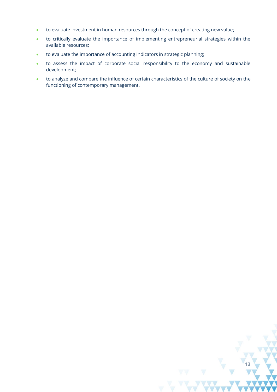- to evaluate investment in human resources through the concept of creating new value;
- to critically evaluate the importance of implementing entrepreneurial strategies within the available resources;
- to evaluate the importance of accounting indicators in strategic planning;
- to assess the impact of corporate social responsibility to the economy and sustainable development;
- to analyze and compare the influence of certain characteristics of the culture of society on the functioning of contemporary management.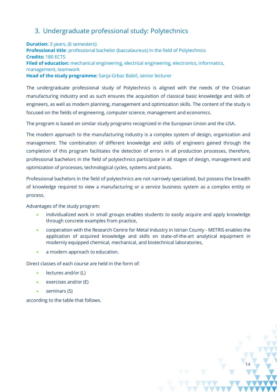# 3. Undergraduate professional study: Polytechnics

**Duration:** 3 years, (6 semesters) **Professional title**: professional bachelor (baccalaureus) in the field of Polytechnics **Credits:** 180 ECTS **Filed of education:** mechanical engineering, electrical engineering, electronics, informatics, management, teamwork **Head of the study programme:** Sanja Grbac Babić, senior lecturer

The undergraduate professional study of Polytechnics is aligned with the needs of the Croatian manufacturing industry and as such ensures the acquisition of classical basic knowledge and skills of engineers, as well as modern planning, management and optimization skills. The content of the study is focused on the fields of engineering, computer science, management and economics.

The program is based on similar study programs recognized in the European Union and the USA.

The modern approach to the manufacturing industry is a complex system of design, organization and management. The combination of different knowledge and skills of engineers gained through the completion of this program facilitates the detection of errors in all production processes, therefore, professional bachelors in the field of polytechnics participate in all stages of design, management and optimization of processes, technological cycles, systems and plants.

Professional bachelors in the field of polytechnics are not narrowly specialized, but possess the breadth of knowledge required to view a manufacturing or a service business system as a complex entity or process.

Advantages of the study program:

- individualized work in small groups enables students to easily acquire and apply knowledge through concrete examples from practice,
- cooperation with the Research Centre for Metal Industry in Istrian County METRIS enables the application of acquired knowledge and skills on state-of-the-art analytical equipment in modernly equipped chemical, mechanical, and biotechnical laboratories,
- a modern approach to education.

Direct classes of each course are held in the form of:

- lectures and/or (L)
- exercises and/or (E)
- seminars (S)

according to the table that follows.